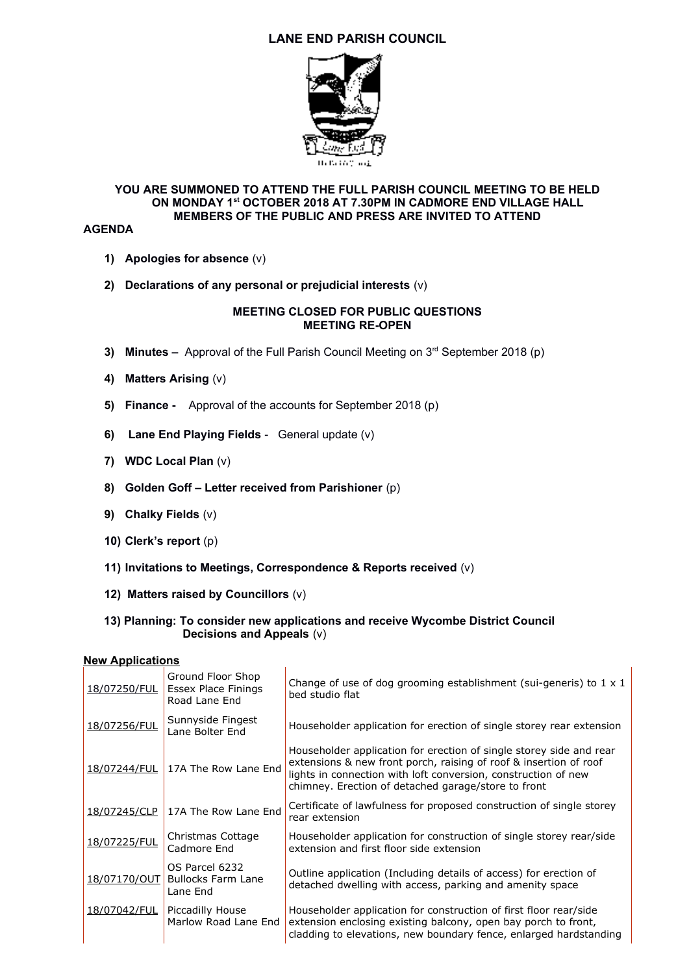# **LANE END PARISH COUNCIL**



## **YOU ARE SUMMONED TO ATTEND THE FULL PARISH COUNCIL MEETING TO BE HELD ON MONDAY 1st OCTOBER 2018 AT 7.30PM IN CADMORE END VILLAGE HALL MEMBERS OF THE PUBLIC AND PRESS ARE INVITED TO ATTEND**

#### **AGENDA**

- **1) Apologies for absence** (v)
- **2) Declarations of any personal or prejudicial interests** (v)

#### **MEETING CLOSED FOR PUBLIC QUESTIONS MEETING RE-OPEN**

- **3) Minutes –** Approval of the Full Parish Council Meeting on 3<sup>rd</sup> September 2018 (p)
- **4) Matters Arising** (v)
- **5) Finance** Approval of the accounts for September 2018 (p)
- **6) Lane End Playing Fields** General update (v)
- **7) WDC Local Plan** (v)
- **8) Golden Goff Letter received from Parishioner** (p)
- **9) Chalky Fields** (v)
- **10) Clerk's report** (p)
- **11) Invitations to Meetings, Correspondence & Reports received** (v)
- **12) Matters raised by Councillors** (v)
- **13) Planning: To consider new applications and receive Wycombe District Council Decisions and Appeals** (v)

### **New Applications**

| 18/07250/FUL | Ground Floor Shop<br>Essex Place Finings<br>Road Lane End | Change of use of dog grooming establishment (sui-generis) to $1 \times 1$<br>bed studio flat                                                                                                                                                                      |
|--------------|-----------------------------------------------------------|-------------------------------------------------------------------------------------------------------------------------------------------------------------------------------------------------------------------------------------------------------------------|
| 18/07256/FUL | Sunnyside Fingest<br>Lane Bolter End                      | Householder application for erection of single storey rear extension                                                                                                                                                                                              |
| 18/07244/FUL | 17A The Row Lane End                                      | Householder application for erection of single storey side and rear<br>extensions & new front porch, raising of roof & insertion of roof<br>lights in connection with loft conversion, construction of new<br>chimney. Erection of detached garage/store to front |
| 18/07245/CLP | 17A The Row Lane End                                      | Certificate of lawfulness for proposed construction of single storey<br>rear extension                                                                                                                                                                            |
| 18/07225/FUL | Christmas Cottage<br>Cadmore End                          | Householder application for construction of single storey rear/side<br>extension and first floor side extension                                                                                                                                                   |
| 18/07170/OUT | OS Parcel 6232<br><b>Bullocks Farm Lane</b><br>Lane End   | Outline application (Including details of access) for erection of<br>detached dwelling with access, parking and amenity space                                                                                                                                     |
| 18/07042/FUL | Piccadilly House<br>Marlow Road Lane End                  | Householder application for construction of first floor rear/side<br>extension enclosing existing balcony, open bay porch to front,<br>cladding to elevations, new boundary fence, enlarged hardstanding                                                          |